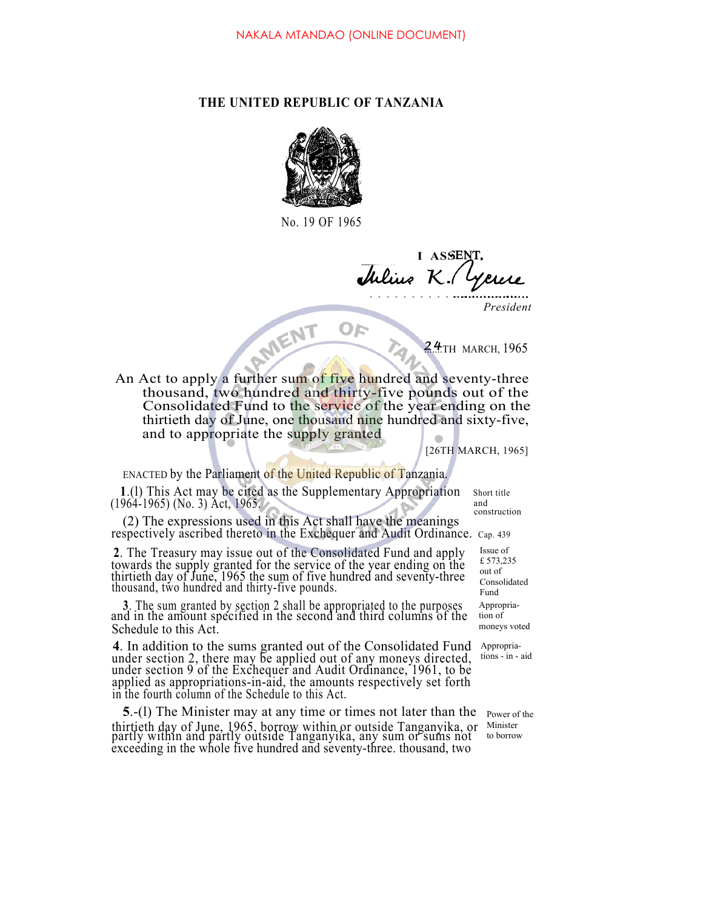## **THE UNITED REPUBLIC OF TANZANIA**



No. 19 OF 1965

**I ASSE** Julius K

*President*

24TH MARCH, 1965

24TH MARCH, 1965 thousand, two hundred and thirty-five pounds out of the Consolidated Fund to the service of the year ending on the thirtieth day of June, one thousand nine hundred and sixty-five, and to appropriate the supply granted

[26TH MARCH, 1965]

ENACTED by the Parliament of the United Republic of Tanzania.

**1**.(1) This Act may be cited as the Supplementary Appropriation Short title 964-1965) (No 3) Act 1965  $(1964-1965)$  (No. 3) Act, 1965.

(2) The expressions used in this Act shall have the meanings respectively ascribed thereto in the Exchequer and Audit Ordinance. Cap. 439

**2**. The Treasury may issue out of the Consolidated Fund and apply towards the supply granted for the service of the year ending on the thirtieth day of June, 1965 the sum of five hundred and seventy-three thousand, two hundred and thirty-five pounds.

**<sup>3</sup>**. The sum granted by section 2 shall be appropriated to the purposes and in the amount specified in the second and third columns of the Schedule to this Act.

**4**. In addition to the sums granted out of the Consolidated Fund under section 2, there may be applied out of any moneys directed, under section 9 of the Exchequer and Audit Ordinance, 1961, to be applied as appropriations-in-aid, the amounts respectively set forth in the fourth column of the Schedule to this Act.

**5**.-(l) The Minister may at any time or times not later than the thirtieth day of June, 1965, borrow within or outside Tanganyika, or partly within and partly outside Tanganyika, any sum or sums not exceeding in the whole five hundred and seventy-three. thousand, two

construction

Issue of £ 573,235 out of Consolidated Fund Appropriation of moneys voted

Appropriations - in - aid

> Power of the Minister to borrow